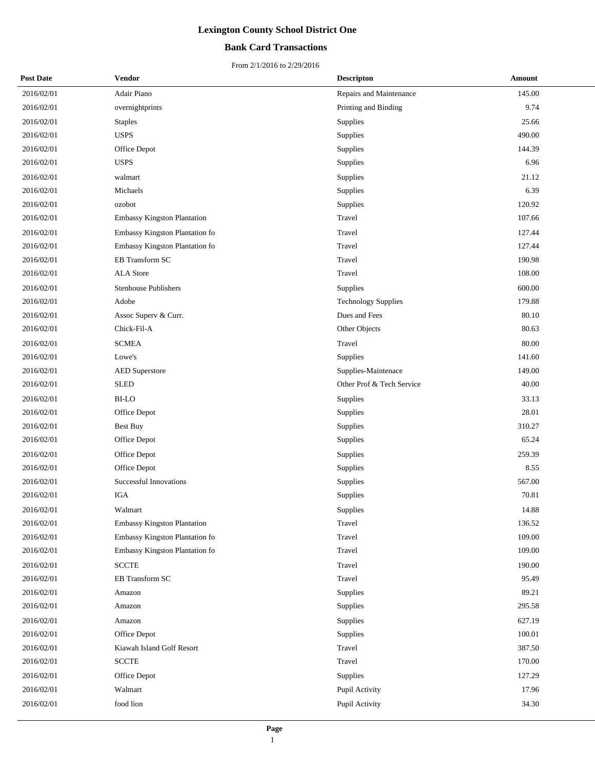## **Bank Card Transactions**

| <b>Post Date</b> | Vendor                             | <b>Descripton</b>          | Amount |
|------------------|------------------------------------|----------------------------|--------|
| 2016/02/01       | Adair Piano                        | Repairs and Maintenance    | 145.00 |
| 2016/02/01       | overnightprints                    | Printing and Binding       | 9.74   |
| 2016/02/01       | <b>Staples</b>                     | Supplies                   | 25.66  |
| 2016/02/01       | <b>USPS</b>                        | Supplies                   | 490.00 |
| 2016/02/01       | Office Depot                       | Supplies                   | 144.39 |
| 2016/02/01       | <b>USPS</b>                        | Supplies                   | 6.96   |
| 2016/02/01       | walmart                            | Supplies                   | 21.12  |
| 2016/02/01       | Michaels                           | Supplies                   | 6.39   |
| 2016/02/01       | ozobot                             | Supplies                   | 120.92 |
| 2016/02/01       | Embassy Kingston Plantation        | Travel                     | 107.66 |
| 2016/02/01       | Embassy Kingston Plantation fo     | Travel                     | 127.44 |
| 2016/02/01       | Embassy Kingston Plantation fo     | Travel                     | 127.44 |
| 2016/02/01       | EB Transform SC                    | Travel                     | 190.98 |
| 2016/02/01       | <b>ALA</b> Store                   | Travel                     | 108.00 |
| 2016/02/01       | <b>Stenhouse Publishers</b>        | Supplies                   | 600.00 |
| 2016/02/01       | Adobe                              | <b>Technology Supplies</b> | 179.88 |
| 2016/02/01       | Assoc Superv & Curr.               | Dues and Fees              | 80.10  |
| 2016/02/01       | Chick-Fil-A                        | Other Objects              | 80.63  |
| 2016/02/01       | <b>SCMEA</b>                       | Travel                     | 80.00  |
| 2016/02/01       | Lowe's                             | Supplies                   | 141.60 |
| 2016/02/01       | <b>AED Superstore</b>              | Supplies-Maintenace        | 149.00 |
| 2016/02/01       | <b>SLED</b>                        | Other Prof & Tech Service  | 40.00  |
| 2016/02/01       | <b>BI-LO</b>                       | Supplies                   | 33.13  |
| 2016/02/01       | Office Depot                       | Supplies                   | 28.01  |
| 2016/02/01       | Best Buy                           | Supplies                   | 310.27 |
| 2016/02/01       | Office Depot                       | Supplies                   | 65.24  |
| 2016/02/01       | Office Depot                       | Supplies                   | 259.39 |
| 2016/02/01       | Office Depot                       | Supplies                   | 8.55   |
| 2016/02/01       | Successful Innovations             | Supplies                   | 567.00 |
| 2016/02/01       | <b>IGA</b>                         | Supplies                   | 70.81  |
| 2016/02/01       | Walmart                            | Supplies                   | 14.88  |
| 2016/02/01       | <b>Embassy Kingston Plantation</b> | Travel                     | 136.52 |
| 2016/02/01       | Embassy Kingston Plantation fo     | Travel                     | 109.00 |
| 2016/02/01       | Embassy Kingston Plantation fo     | Travel                     | 109.00 |
| 2016/02/01       | <b>SCCTE</b>                       | Travel                     | 190.00 |
| 2016/02/01       | EB Transform SC                    | Travel                     | 95.49  |
| 2016/02/01       | Amazon                             | Supplies                   | 89.21  |
| 2016/02/01       | Amazon                             | Supplies                   | 295.58 |
| 2016/02/01       | Amazon                             | Supplies                   | 627.19 |
| 2016/02/01       | Office Depot                       | Supplies                   | 100.01 |
| 2016/02/01       | Kiawah Island Golf Resort          | Travel                     | 387.50 |
| 2016/02/01       | <b>SCCTE</b>                       | Travel                     | 170.00 |
| 2016/02/01       | Office Depot                       | Supplies                   | 127.29 |
| 2016/02/01       | Walmart                            | Pupil Activity             | 17.96  |
| 2016/02/01       | food lion                          | Pupil Activity             | 34.30  |
|                  |                                    |                            |        |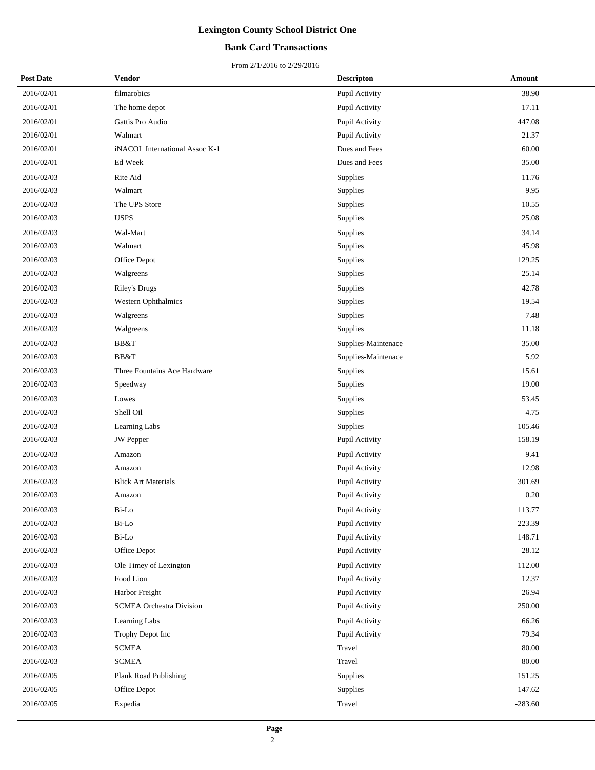## **Bank Card Transactions**

| <b>Post Date</b> | Vendor                          | <b>Descripton</b>   | Amount    |
|------------------|---------------------------------|---------------------|-----------|
| 2016/02/01       | filmarobics                     | Pupil Activity      | 38.90     |
| 2016/02/01       | The home depot                  | Pupil Activity      | 17.11     |
| 2016/02/01       | Gattis Pro Audio                | Pupil Activity      | 447.08    |
| 2016/02/01       | Walmart                         | Pupil Activity      | 21.37     |
| 2016/02/01       | iNACOL International Assoc K-1  | Dues and Fees       | 60.00     |
| 2016/02/01       | Ed Week                         | Dues and Fees       | 35.00     |
| 2016/02/03       | Rite Aid                        | Supplies            | 11.76     |
| 2016/02/03       | Walmart                         | Supplies            | 9.95      |
| 2016/02/03       | The UPS Store                   | Supplies            | 10.55     |
| 2016/02/03       | <b>USPS</b>                     | Supplies            | 25.08     |
| 2016/02/03       | Wal-Mart                        | Supplies            | 34.14     |
| 2016/02/03       | Walmart                         | Supplies            | 45.98     |
| 2016/02/03       | Office Depot                    | Supplies            | 129.25    |
| 2016/02/03       | Walgreens                       | Supplies            | 25.14     |
| 2016/02/03       | <b>Riley's Drugs</b>            | Supplies            | 42.78     |
| 2016/02/03       | <b>Western Ophthalmics</b>      | Supplies            | 19.54     |
| 2016/02/03       | Walgreens                       | Supplies            | 7.48      |
| 2016/02/03       | Walgreens                       | Supplies            | 11.18     |
| 2016/02/03       | BB&T                            | Supplies-Maintenace | 35.00     |
| 2016/02/03       | BB&T                            | Supplies-Maintenace | 5.92      |
| 2016/02/03       | Three Fountains Ace Hardware    | Supplies            | 15.61     |
| 2016/02/03       | Speedway                        | Supplies            | 19.00     |
| 2016/02/03       | Lowes                           | Supplies            | 53.45     |
| 2016/02/03       | Shell Oil                       | Supplies            | 4.75      |
| 2016/02/03       | Learning Labs                   | Supplies            | 105.46    |
| 2016/02/03       | <b>JW</b> Pepper                | Pupil Activity      | 158.19    |
| 2016/02/03       | Amazon                          | Pupil Activity      | 9.41      |
| 2016/02/03       | Amazon                          | Pupil Activity      | 12.98     |
| 2016/02/03       | <b>Blick Art Materials</b>      | Pupil Activity      | 301.69    |
| 2016/02/03       | Amazon                          | Pupil Activity      | 0.20      |
| 2016/02/03       | Bi-Lo                           | Pupil Activity      | 113.77    |
| 2016/02/03       | Bi-Lo                           | Pupil Activity      | 223.39    |
| 2016/02/03       | Bi-Lo                           | Pupil Activity      | 148.71    |
| 2016/02/03       | Office Depot                    | Pupil Activity      | 28.12     |
| 2016/02/03       | Ole Timey of Lexington          | Pupil Activity      | 112.00    |
| 2016/02/03       | Food Lion                       | Pupil Activity      | 12.37     |
| 2016/02/03       | Harbor Freight                  | Pupil Activity      | 26.94     |
| 2016/02/03       | <b>SCMEA Orchestra Division</b> | Pupil Activity      | 250.00    |
| 2016/02/03       | Learning Labs                   | Pupil Activity      | 66.26     |
| 2016/02/03       | Trophy Depot Inc                | Pupil Activity      | 79.34     |
| 2016/02/03       | <b>SCMEA</b>                    | Travel              | 80.00     |
| 2016/02/03       | <b>SCMEA</b>                    | Travel              | 80.00     |
| 2016/02/05       | Plank Road Publishing           | Supplies            | 151.25    |
| 2016/02/05       | Office Depot                    | Supplies            | 147.62    |
| 2016/02/05       | Expedia                         | Travel              | $-283.60$ |
|                  |                                 |                     |           |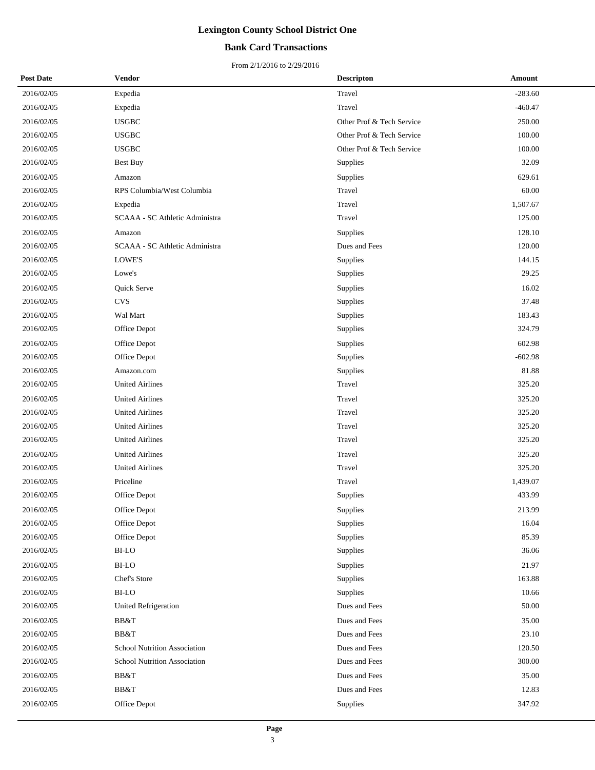## **Bank Card Transactions**

| <b>Post Date</b> | Vendor                         | <b>Descripton</b>         | Amount    |
|------------------|--------------------------------|---------------------------|-----------|
| 2016/02/05       | Expedia                        | Travel                    | $-283.60$ |
| 2016/02/05       | Expedia                        | Travel                    | $-460.47$ |
| 2016/02/05       | <b>USGBC</b>                   | Other Prof & Tech Service | 250.00    |
| 2016/02/05       | <b>USGBC</b>                   | Other Prof & Tech Service | 100.00    |
| 2016/02/05       | <b>USGBC</b>                   | Other Prof & Tech Service | 100.00    |
| 2016/02/05       | <b>Best Buy</b>                | Supplies                  | 32.09     |
| 2016/02/05       | Amazon                         | Supplies                  | 629.61    |
| 2016/02/05       | RPS Columbia/West Columbia     | Travel                    | 60.00     |
| 2016/02/05       | Expedia                        | Travel                    | 1,507.67  |
| 2016/02/05       | SCAAA - SC Athletic Administra | Travel                    | 125.00    |
| 2016/02/05       | Amazon                         | Supplies                  | 128.10    |
| 2016/02/05       | SCAAA - SC Athletic Administra | Dues and Fees             | 120.00    |
| 2016/02/05       | LOWE'S                         | Supplies                  | 144.15    |
| 2016/02/05       | Lowe's                         | Supplies                  | 29.25     |
| 2016/02/05       | Quick Serve                    | Supplies                  | 16.02     |
| 2016/02/05       | <b>CVS</b>                     | <b>Supplies</b>           | 37.48     |
| 2016/02/05       | Wal Mart                       | Supplies                  | 183.43    |
| 2016/02/05       | Office Depot                   | Supplies                  | 324.79    |
| 2016/02/05       | Office Depot                   | Supplies                  | 602.98    |
| 2016/02/05       | Office Depot                   | Supplies                  | $-602.98$ |
| 2016/02/05       | Amazon.com                     | Supplies                  | 81.88     |
| 2016/02/05       | <b>United Airlines</b>         | Travel                    | 325.20    |
| 2016/02/05       | <b>United Airlines</b>         | Travel                    | 325.20    |
| 2016/02/05       | <b>United Airlines</b>         | Travel                    | 325.20    |
| 2016/02/05       | <b>United Airlines</b>         | Travel                    | 325.20    |
| 2016/02/05       | <b>United Airlines</b>         | Travel                    | 325.20    |
| 2016/02/05       | <b>United Airlines</b>         | Travel                    | 325.20    |
| 2016/02/05       | <b>United Airlines</b>         | Travel                    | 325.20    |
| 2016/02/05       | Priceline                      | Travel                    | 1,439.07  |
| 2016/02/05       | Office Depot                   | Supplies                  | 433.99    |
| 2016/02/05       | Office Depot                   | Supplies                  | 213.99    |
| 2016/02/05       | Office Depot                   | Supplies                  | 16.04     |
| 2016/02/05       | Office Depot                   | Supplies                  | 85.39     |
| 2016/02/05       | BI-LO                          | Supplies                  | 36.06     |
| 2016/02/05       | <b>BI-LO</b>                   | Supplies                  | 21.97     |
| 2016/02/05       | Chef's Store                   | Supplies                  | 163.88    |
| 2016/02/05       | $_{\rm BI\text{-}LO}$          | Supplies                  | 10.66     |
| 2016/02/05       | United Refrigeration           | Dues and Fees             | 50.00     |
| 2016/02/05       | BB&T                           | Dues and Fees             | 35.00     |
| 2016/02/05       | BB&T                           | Dues and Fees             | 23.10     |
| 2016/02/05       | School Nutrition Association   | Dues and Fees             | 120.50    |
| 2016/02/05       | School Nutrition Association   | Dues and Fees             | 300.00    |
| 2016/02/05       | BB&T                           | Dues and Fees             | 35.00     |
| 2016/02/05       | BB&T                           | Dues and Fees             | 12.83     |
| 2016/02/05       | Office Depot                   | <b>Supplies</b>           | 347.92    |
|                  |                                |                           |           |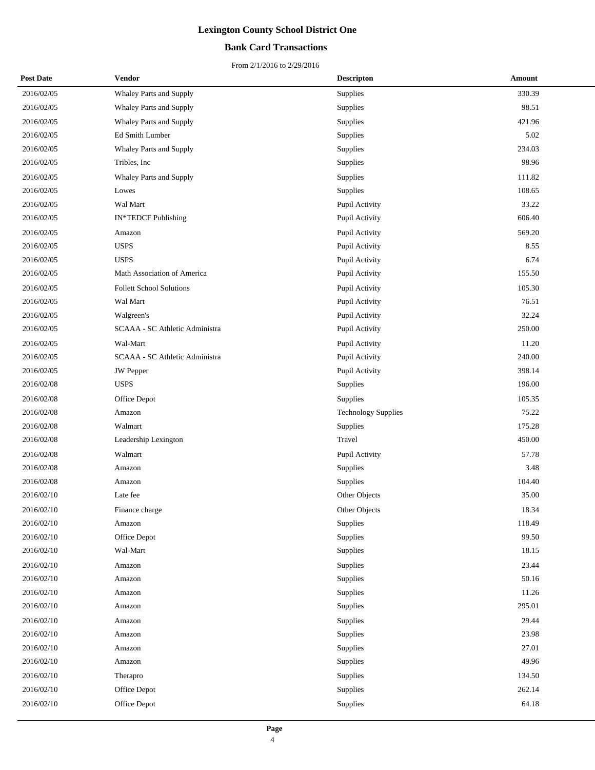## **Bank Card Transactions**

| <b>Post Date</b> | <b>Vendor</b>                   | <b>Descripton</b>          | Amount |
|------------------|---------------------------------|----------------------------|--------|
| 2016/02/05       | Whaley Parts and Supply         | Supplies                   | 330.39 |
| 2016/02/05       | Whaley Parts and Supply         | Supplies                   | 98.51  |
| 2016/02/05       | Whaley Parts and Supply         | Supplies                   | 421.96 |
| 2016/02/05       | Ed Smith Lumber                 | Supplies                   | 5.02   |
| 2016/02/05       | Whaley Parts and Supply         | Supplies                   | 234.03 |
| 2016/02/05       | Tribles, Inc.                   | Supplies                   | 98.96  |
| 2016/02/05       | Whaley Parts and Supply         | Supplies                   | 111.82 |
| 2016/02/05       | Lowes                           | Supplies                   | 108.65 |
| 2016/02/05       | Wal Mart                        | Pupil Activity             | 33.22  |
| 2016/02/05       | IN*TEDCF Publishing             | Pupil Activity             | 606.40 |
| 2016/02/05       | Amazon                          | Pupil Activity             | 569.20 |
| 2016/02/05       | <b>USPS</b>                     | Pupil Activity             | 8.55   |
| 2016/02/05       | <b>USPS</b>                     | Pupil Activity             | 6.74   |
| 2016/02/05       | Math Association of America     | Pupil Activity             | 155.50 |
| 2016/02/05       | <b>Follett School Solutions</b> | Pupil Activity             | 105.30 |
| 2016/02/05       | Wal Mart                        | Pupil Activity             | 76.51  |
| 2016/02/05       | Walgreen's                      | Pupil Activity             | 32.24  |
| 2016/02/05       | SCAAA - SC Athletic Administra  | Pupil Activity             | 250.00 |
| 2016/02/05       | Wal-Mart                        | Pupil Activity             | 11.20  |
| 2016/02/05       | SCAAA - SC Athletic Administra  | Pupil Activity             | 240.00 |
| 2016/02/05       | <b>JW</b> Pepper                | Pupil Activity             | 398.14 |
| 2016/02/08       | <b>USPS</b>                     | Supplies                   | 196.00 |
| 2016/02/08       | Office Depot                    | Supplies                   | 105.35 |
| 2016/02/08       | Amazon                          | <b>Technology Supplies</b> | 75.22  |
| 2016/02/08       | Walmart                         | Supplies                   | 175.28 |
| 2016/02/08       | Leadership Lexington            | Travel                     | 450.00 |
| 2016/02/08       | Walmart                         | Pupil Activity             | 57.78  |
| 2016/02/08       | Amazon                          | Supplies                   | 3.48   |
| 2016/02/08       | Amazon                          | Supplies                   | 104.40 |
| 2016/02/10       | Late fee                        | Other Objects              | 35.00  |
| 2016/02/10       | Finance charge                  | Other Objects              | 18.34  |
| 2016/02/10       | Amazon                          | Supplies                   | 118.49 |
| 2016/02/10       | Office Depot                    | Supplies                   | 99.50  |
| 2016/02/10       | Wal-Mart                        | Supplies                   | 18.15  |
| 2016/02/10       | Amazon                          | Supplies                   | 23.44  |
| 2016/02/10       | Amazon                          | Supplies                   | 50.16  |
| 2016/02/10       | Amazon                          | Supplies                   | 11.26  |
| 2016/02/10       | Amazon                          | Supplies                   | 295.01 |
| 2016/02/10       | Amazon                          | Supplies                   | 29.44  |
| 2016/02/10       | Amazon                          | Supplies                   | 23.98  |
| 2016/02/10       | Amazon                          | Supplies                   | 27.01  |
| 2016/02/10       | Amazon                          | Supplies                   | 49.96  |
| 2016/02/10       | Therapro                        | Supplies                   | 134.50 |
| 2016/02/10       | Office Depot                    | Supplies                   | 262.14 |
| 2016/02/10       | Office Depot                    | Supplies                   | 64.18  |
|                  |                                 |                            |        |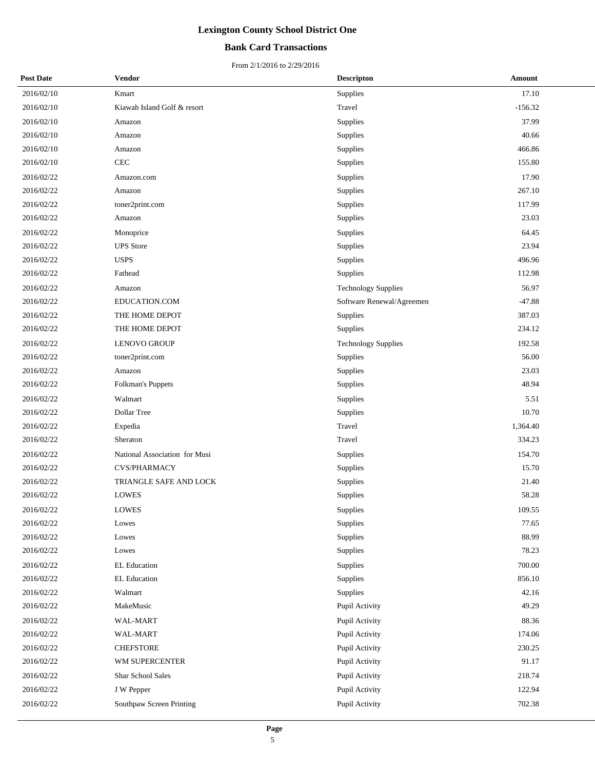## **Bank Card Transactions**

| <b>Post Date</b> | <b>Vendor</b>                 | <b>Descripton</b>          | Amount    |
|------------------|-------------------------------|----------------------------|-----------|
| 2016/02/10       | Kmart                         | Supplies                   | 17.10     |
| 2016/02/10       | Kiawah Island Golf & resort   | Travel                     | $-156.32$ |
| 2016/02/10       | Amazon                        | Supplies                   | 37.99     |
| 2016/02/10       | Amazon                        | Supplies                   | 40.66     |
| 2016/02/10       | Amazon                        | Supplies                   | 466.86    |
| 2016/02/10       | CEC                           | Supplies                   | 155.80    |
| 2016/02/22       | Amazon.com                    | Supplies                   | 17.90     |
| 2016/02/22       | Amazon                        | Supplies                   | 267.10    |
| 2016/02/22       | toner2print.com               | Supplies                   | 117.99    |
| 2016/02/22       | Amazon                        | Supplies                   | 23.03     |
| 2016/02/22       | Monoprice                     | Supplies                   | 64.45     |
| 2016/02/22       | <b>UPS</b> Store              | Supplies                   | 23.94     |
| 2016/02/22       | <b>USPS</b>                   | Supplies                   | 496.96    |
| 2016/02/22       | Fathead                       | Supplies                   | 112.98    |
| 2016/02/22       | Amazon                        | <b>Technology Supplies</b> | 56.97     |
| 2016/02/22       | EDUCATION.COM                 | Software Renewal/Agreemen  | $-47.88$  |
| 2016/02/22       | THE HOME DEPOT                | Supplies                   | 387.03    |
| 2016/02/22       | THE HOME DEPOT                | Supplies                   | 234.12    |
| 2016/02/22       | LENOVO GROUP                  | <b>Technology Supplies</b> | 192.58    |
| 2016/02/22       | toner2print.com               | Supplies                   | 56.00     |
| 2016/02/22       | Amazon                        | Supplies                   | 23.03     |
| 2016/02/22       | Folkman's Puppets             | Supplies                   | 48.94     |
| 2016/02/22       | Walmart                       | Supplies                   | 5.51      |
| 2016/02/22       | Dollar Tree                   | Supplies                   | 10.70     |
| 2016/02/22       | Expedia                       | Travel                     | 1,364.40  |
| 2016/02/22       | Sheraton                      | Travel                     | 334.23    |
| 2016/02/22       | National Association for Musi | Supplies                   | 154.70    |
| 2016/02/22       | CVS/PHARMACY                  | Supplies                   | 15.70     |
| 2016/02/22       | TRIANGLE SAFE AND LOCK        | Supplies                   | 21.40     |
| 2016/02/22       | <b>LOWES</b>                  | Supplies                   | 58.28     |
| 2016/02/22       | <b>LOWES</b>                  | Supplies                   | 109.55    |
| 2016/02/22       | Lowes                         | Supplies                   | 77.65     |
| 2016/02/22       | Lowes                         | Supplies                   | 88.99     |
| 2016/02/22       | Lowes                         | Supplies                   | 78.23     |
| 2016/02/22       | <b>EL Education</b>           | Supplies                   | 700.00    |
| 2016/02/22       | <b>EL Education</b>           | Supplies                   | 856.10    |
| 2016/02/22       | Walmart                       | Supplies                   | 42.16     |
| 2016/02/22       | MakeMusic                     | Pupil Activity             | 49.29     |
| 2016/02/22       | WAL-MART                      | Pupil Activity             | 88.36     |
| 2016/02/22       | WAL-MART                      | Pupil Activity             | 174.06    |
| 2016/02/22       | <b>CHEFSTORE</b>              | Pupil Activity             | 230.25    |
| 2016/02/22       | WM SUPERCENTER                | Pupil Activity             | 91.17     |
| 2016/02/22       | <b>Shar School Sales</b>      | Pupil Activity             | 218.74    |
| 2016/02/22       | J W Pepper                    | Pupil Activity             | 122.94    |
| 2016/02/22       | Southpaw Screen Printing      | Pupil Activity             | 702.38    |
|                  |                               |                            |           |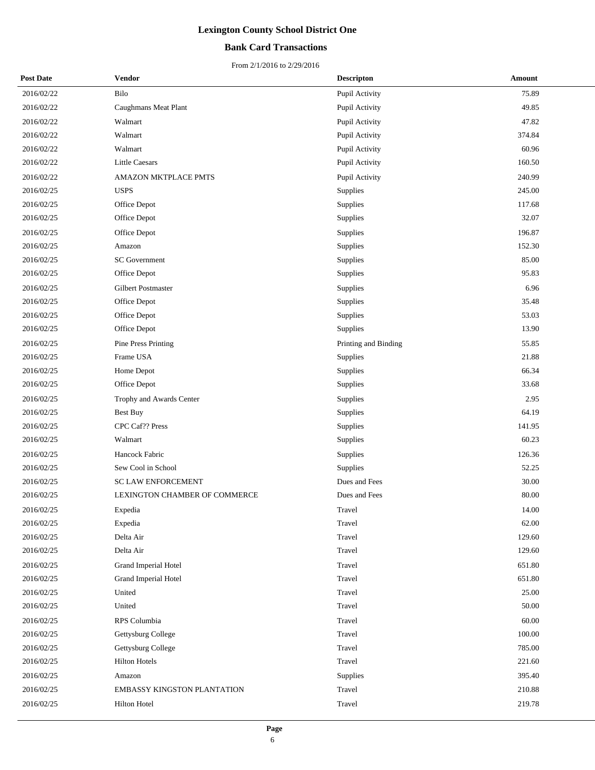## **Bank Card Transactions**

| <b>Post Date</b> | <b>Vendor</b>                      | <b>Descripton</b>    | Amount |
|------------------|------------------------------------|----------------------|--------|
| 2016/02/22       | Bilo                               | Pupil Activity       | 75.89  |
| 2016/02/22       | Caughmans Meat Plant               | Pupil Activity       | 49.85  |
| 2016/02/22       | Walmart                            | Pupil Activity       | 47.82  |
| 2016/02/22       | Walmart                            | Pupil Activity       | 374.84 |
| 2016/02/22       | Walmart                            | Pupil Activity       | 60.96  |
| 2016/02/22       | <b>Little Caesars</b>              | Pupil Activity       | 160.50 |
| 2016/02/22       | <b>AMAZON MKTPLACE PMTS</b>        | Pupil Activity       | 240.99 |
| 2016/02/25       | <b>USPS</b>                        | Supplies             | 245.00 |
| 2016/02/25       | Office Depot                       | Supplies             | 117.68 |
| 2016/02/25       | Office Depot                       | Supplies             | 32.07  |
| 2016/02/25       | Office Depot                       | Supplies             | 196.87 |
| 2016/02/25       | Amazon                             | Supplies             | 152.30 |
| 2016/02/25       | <b>SC</b> Government               | Supplies             | 85.00  |
| 2016/02/25       | Office Depot                       | Supplies             | 95.83  |
| 2016/02/25       | Gilbert Postmaster                 | Supplies             | 6.96   |
| 2016/02/25       | Office Depot                       | Supplies             | 35.48  |
| 2016/02/25       | Office Depot                       | Supplies             | 53.03  |
| 2016/02/25       | Office Depot                       | Supplies             | 13.90  |
| 2016/02/25       | Pine Press Printing                | Printing and Binding | 55.85  |
| 2016/02/25       | Frame USA                          | Supplies             | 21.88  |
| 2016/02/25       | Home Depot                         | Supplies             | 66.34  |
| 2016/02/25       | Office Depot                       | Supplies             | 33.68  |
| 2016/02/25       | Trophy and Awards Center           | Supplies             | 2.95   |
| 2016/02/25       | <b>Best Buy</b>                    | Supplies             | 64.19  |
| 2016/02/25       | CPC Caf?? Press                    | Supplies             | 141.95 |
| 2016/02/25       | Walmart                            | Supplies             | 60.23  |
| 2016/02/25       | Hancock Fabric                     | <b>Supplies</b>      | 126.36 |
| 2016/02/25       | Sew Cool in School                 | Supplies             | 52.25  |
| 2016/02/25       | <b>SC LAW ENFORCEMENT</b>          | Dues and Fees        | 30.00  |
| 2016/02/25       | LEXINGTON CHAMBER OF COMMERCE      | Dues and Fees        | 80.00  |
| 2016/02/25       | Expedia                            | Travel               | 14.00  |
| 2016/02/25       | Expedia                            | Travel               | 62.00  |
| 2016/02/25       | Delta Air                          | Travel               | 129.60 |
| 2016/02/25       | Delta Air                          | Travel               | 129.60 |
| 2016/02/25       | Grand Imperial Hotel               | Travel               | 651.80 |
| 2016/02/25       | Grand Imperial Hotel               | Travel               | 651.80 |
| 2016/02/25       | United                             | Travel               | 25.00  |
| 2016/02/25       | United                             | Travel               | 50.00  |
| 2016/02/25       | RPS Columbia                       | Travel               | 60.00  |
| 2016/02/25       | Gettysburg College                 | Travel               | 100.00 |
| 2016/02/25       | Gettysburg College                 | Travel               | 785.00 |
| 2016/02/25       | <b>Hilton Hotels</b>               | Travel               | 221.60 |
| 2016/02/25       | Amazon                             | Supplies             | 395.40 |
| 2016/02/25       | <b>EMBASSY KINGSTON PLANTATION</b> | Travel               | 210.88 |
| 2016/02/25       | Hilton Hotel                       | Travel               | 219.78 |
|                  |                                    |                      |        |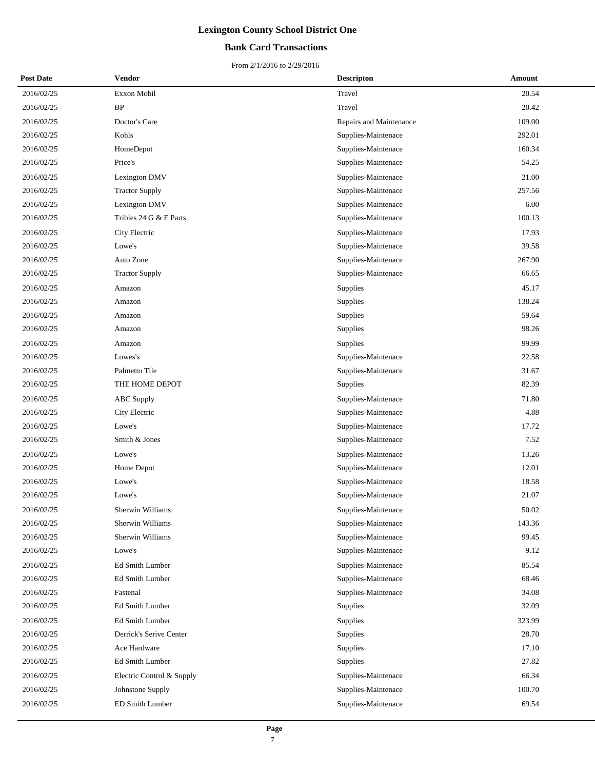## **Bank Card Transactions**

| <b>Post Date</b> | Vendor                    | <b>Descripton</b>       | Amount |
|------------------|---------------------------|-------------------------|--------|
| 2016/02/25       | Exxon Mobil               | Travel                  | 20.54  |
| 2016/02/25       | BP                        | Travel                  | 20.42  |
| 2016/02/25       | Doctor's Care             | Repairs and Maintenance | 109.00 |
| 2016/02/25       | Kohls                     | Supplies-Maintenace     | 292.01 |
| 2016/02/25       | HomeDepot                 | Supplies-Maintenace     | 160.34 |
| 2016/02/25       | Price's                   | Supplies-Maintenace     | 54.25  |
| 2016/02/25       | Lexington DMV             | Supplies-Maintenace     | 21.00  |
| 2016/02/25       | <b>Tractor Supply</b>     | Supplies-Maintenace     | 257.56 |
| 2016/02/25       | Lexington DMV             | Supplies-Maintenace     | 6.00   |
| 2016/02/25       | Tribles 24 G & E Parts    | Supplies-Maintenace     | 100.13 |
| 2016/02/25       | City Electric             | Supplies-Maintenace     | 17.93  |
| 2016/02/25       | Lowe's                    | Supplies-Maintenace     | 39.58  |
| 2016/02/25       | Auto Zone                 | Supplies-Maintenace     | 267.90 |
| 2016/02/25       | <b>Tractor Supply</b>     | Supplies-Maintenace     | 66.65  |
| 2016/02/25       | Amazon                    | Supplies                | 45.17  |
| 2016/02/25       | Amazon                    | Supplies                | 138.24 |
| 2016/02/25       | Amazon                    | Supplies                | 59.64  |
| 2016/02/25       | Amazon                    | Supplies                | 98.26  |
| 2016/02/25       | Amazon                    | Supplies                | 99.99  |
| 2016/02/25       | Lowes's                   | Supplies-Maintenace     | 22.58  |
| 2016/02/25       | Palmetto Tile             | Supplies-Maintenace     | 31.67  |
| 2016/02/25       | THE HOME DEPOT            | Supplies                | 82.39  |
| 2016/02/25       | <b>ABC</b> Supply         | Supplies-Maintenace     | 71.80  |
| 2016/02/25       | City Electric             | Supplies-Maintenace     | 4.88   |
| 2016/02/25       | Lowe's                    | Supplies-Maintenace     | 17.72  |
| 2016/02/25       | Smith & Jones             | Supplies-Maintenace     | 7.52   |
| 2016/02/25       | Lowe's                    | Supplies-Maintenace     | 13.26  |
| 2016/02/25       | Home Depot                | Supplies-Maintenace     | 12.01  |
| 2016/02/25       | Lowe's                    | Supplies-Maintenace     | 18.58  |
| 2016/02/25       | Lowe's                    | Supplies-Maintenace     | 21.07  |
| 2016/02/25       | Sherwin Williams          | Supplies-Maintenace     | 50.02  |
| 2016/02/25       | Sherwin Williams          | Supplies-Maintenace     | 143.36 |
| 2016/02/25       | Sherwin Williams          | Supplies-Maintenace     | 99.45  |
| 2016/02/25       | Lowe's                    | Supplies-Maintenace     | 9.12   |
| 2016/02/25       | Ed Smith Lumber           | Supplies-Maintenace     | 85.54  |
| 2016/02/25       | Ed Smith Lumber           | Supplies-Maintenace     | 68.46  |
| 2016/02/25       | Fastenal                  | Supplies-Maintenace     | 34.08  |
| 2016/02/25       | Ed Smith Lumber           | Supplies                | 32.09  |
| 2016/02/25       | Ed Smith Lumber           | Supplies                | 323.99 |
| 2016/02/25       | Derrick's Serive Center   | Supplies                | 28.70  |
| 2016/02/25       | Ace Hardware              | Supplies                | 17.10  |
| 2016/02/25       | Ed Smith Lumber           | Supplies                | 27.82  |
| 2016/02/25       | Electric Control & Supply | Supplies-Maintenace     | 66.34  |
| 2016/02/25       | Johnstone Supply          | Supplies-Maintenace     | 100.70 |
| 2016/02/25       | ED Smith Lumber           | Supplies-Maintenace     | 69.54  |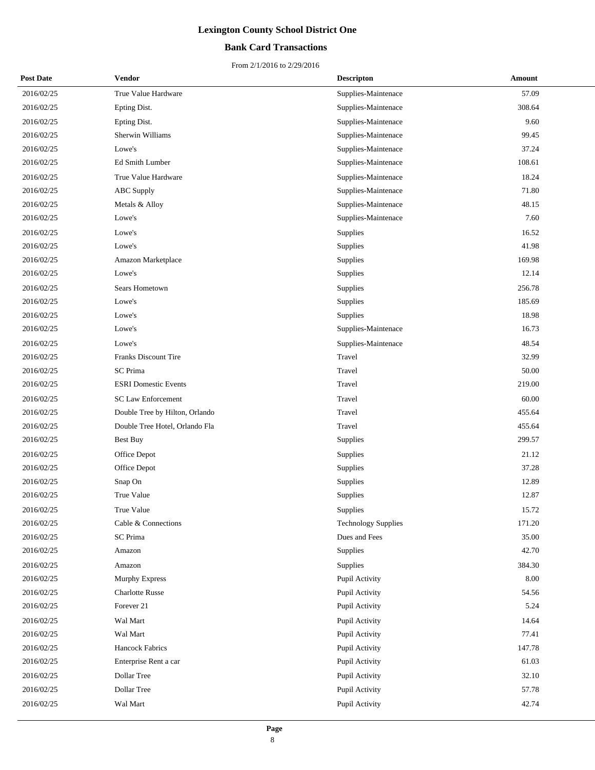## **Bank Card Transactions**

| <b>Post Date</b> | Vendor                         | <b>Descripton</b>          | Amount   |
|------------------|--------------------------------|----------------------------|----------|
| 2016/02/25       | True Value Hardware            | Supplies-Maintenace        | 57.09    |
| 2016/02/25       | Epting Dist.                   | Supplies-Maintenace        | 308.64   |
| 2016/02/25       | Epting Dist.                   | Supplies-Maintenace        | 9.60     |
| 2016/02/25       | Sherwin Williams               | Supplies-Maintenace        | 99.45    |
| 2016/02/25       | Lowe's                         | Supplies-Maintenace        | 37.24    |
| 2016/02/25       | Ed Smith Lumber                | Supplies-Maintenace        | 108.61   |
| 2016/02/25       | True Value Hardware            | Supplies-Maintenace        | 18.24    |
| 2016/02/25       | <b>ABC</b> Supply              | Supplies-Maintenace        | 71.80    |
| 2016/02/25       | Metals & Alloy                 | Supplies-Maintenace        | 48.15    |
| 2016/02/25       | Lowe's                         | Supplies-Maintenace        | 7.60     |
| 2016/02/25       | Lowe's                         | Supplies                   | 16.52    |
| 2016/02/25       | Lowe's                         | Supplies                   | 41.98    |
| 2016/02/25       | Amazon Marketplace             | Supplies                   | 169.98   |
| 2016/02/25       | Lowe's                         | Supplies                   | 12.14    |
| 2016/02/25       | Sears Hometown                 | Supplies                   | 256.78   |
| 2016/02/25       | Lowe's                         | Supplies                   | 185.69   |
| 2016/02/25       | Lowe's                         | Supplies                   | 18.98    |
| 2016/02/25       | Lowe's                         | Supplies-Maintenace        | 16.73    |
| 2016/02/25       | Lowe's                         | Supplies-Maintenace        | 48.54    |
| 2016/02/25       | <b>Franks Discount Tire</b>    | Travel                     | 32.99    |
| 2016/02/25       | <b>SC</b> Prima                | Travel                     | 50.00    |
| 2016/02/25       | <b>ESRI</b> Domestic Events    | Travel                     | 219.00   |
| 2016/02/25       | <b>SC Law Enforcement</b>      | Travel                     | 60.00    |
| 2016/02/25       | Double Tree by Hilton, Orlando | Travel                     | 455.64   |
| 2016/02/25       | Double Tree Hotel, Orlando Fla | Travel                     | 455.64   |
| 2016/02/25       | <b>Best Buy</b>                | Supplies                   | 299.57   |
| 2016/02/25       | Office Depot                   | Supplies                   | 21.12    |
| 2016/02/25       | Office Depot                   | Supplies                   | 37.28    |
| 2016/02/25       | Snap On                        | Supplies                   | 12.89    |
| 2016/02/25       | True Value                     | Supplies                   | 12.87    |
| 2016/02/25       | True Value                     | Supplies                   | 15.72    |
| 2016/02/25       | Cable & Connections            | <b>Technology Supplies</b> | 171.20   |
| 2016/02/25       | <b>SC</b> Prima                | Dues and Fees              | 35.00    |
| 2016/02/25       | Amazon                         | Supplies                   | 42.70    |
| 2016/02/25       | Amazon                         | Supplies                   | 384.30   |
| 2016/02/25       | Murphy Express                 | Pupil Activity             | $8.00\,$ |
| 2016/02/25       | <b>Charlotte Russe</b>         | Pupil Activity             | 54.56    |
| 2016/02/25       | Forever 21                     | Pupil Activity             | 5.24     |
| 2016/02/25       | Wal Mart                       | Pupil Activity             | 14.64    |
| 2016/02/25       | Wal Mart                       | Pupil Activity             | 77.41    |
| 2016/02/25       | <b>Hancock Fabrics</b>         | Pupil Activity             | 147.78   |
| 2016/02/25       | Enterprise Rent a car          | Pupil Activity             | 61.03    |
| 2016/02/25       | Dollar Tree                    | Pupil Activity             | 32.10    |
| 2016/02/25       | Dollar Tree                    | Pupil Activity             | 57.78    |
| 2016/02/25       | Wal Mart                       | Pupil Activity             | 42.74    |
|                  |                                |                            |          |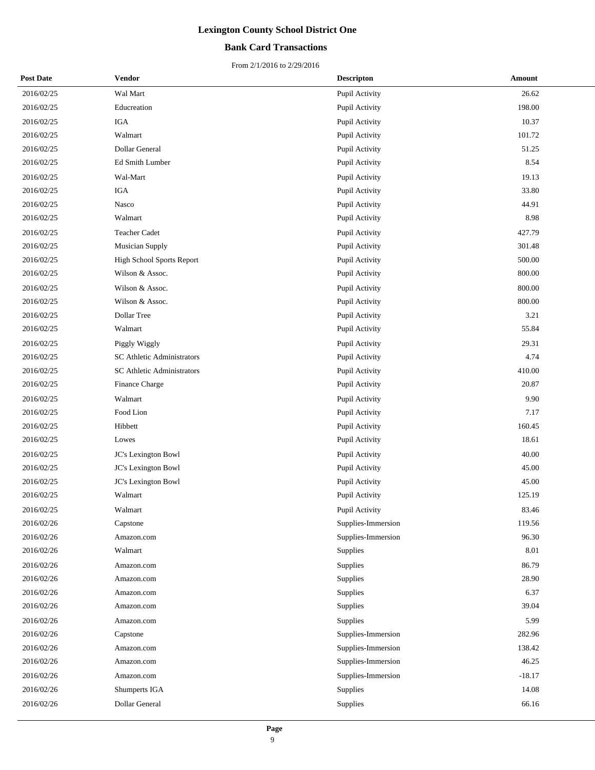## **Bank Card Transactions**

| <b>Post Date</b> | Vendor                     | <b>Descripton</b>  | Amount   |
|------------------|----------------------------|--------------------|----------|
| 2016/02/25       | Wal Mart                   | Pupil Activity     | 26.62    |
| 2016/02/25       | Educreation                | Pupil Activity     | 198.00   |
| 2016/02/25       | <b>IGA</b>                 | Pupil Activity     | 10.37    |
| 2016/02/25       | Walmart                    | Pupil Activity     | 101.72   |
| 2016/02/25       | Dollar General             | Pupil Activity     | 51.25    |
| 2016/02/25       | Ed Smith Lumber            | Pupil Activity     | 8.54     |
| 2016/02/25       | Wal-Mart                   | Pupil Activity     | 19.13    |
| 2016/02/25       | <b>IGA</b>                 | Pupil Activity     | 33.80    |
| 2016/02/25       | Nasco                      | Pupil Activity     | 44.91    |
| 2016/02/25       | Walmart                    | Pupil Activity     | 8.98     |
| 2016/02/25       | Teacher Cadet              | Pupil Activity     | 427.79   |
| 2016/02/25       | <b>Musician Supply</b>     | Pupil Activity     | 301.48   |
| 2016/02/25       | High School Sports Report  | Pupil Activity     | 500.00   |
| 2016/02/25       | Wilson & Assoc.            | Pupil Activity     | 800.00   |
| 2016/02/25       | Wilson & Assoc.            | Pupil Activity     | 800.00   |
| 2016/02/25       | Wilson & Assoc.            | Pupil Activity     | 800.00   |
| 2016/02/25       | Dollar Tree                | Pupil Activity     | 3.21     |
| 2016/02/25       | Walmart                    | Pupil Activity     | 55.84    |
| 2016/02/25       | Piggly Wiggly              | Pupil Activity     | 29.31    |
| 2016/02/25       | SC Athletic Administrators | Pupil Activity     | 4.74     |
| 2016/02/25       | SC Athletic Administrators | Pupil Activity     | 410.00   |
| 2016/02/25       | Finance Charge             | Pupil Activity     | 20.87    |
| 2016/02/25       | Walmart                    | Pupil Activity     | 9.90     |
| 2016/02/25       | Food Lion                  | Pupil Activity     | 7.17     |
| 2016/02/25       | Hibbett                    | Pupil Activity     | 160.45   |
| 2016/02/25       | Lowes                      | Pupil Activity     | 18.61    |
| 2016/02/25       | JC's Lexington Bowl        | Pupil Activity     | 40.00    |
| 2016/02/25       | JC's Lexington Bowl        | Pupil Activity     | 45.00    |
| 2016/02/25       | JC's Lexington Bowl        | Pupil Activity     | 45.00    |
| 2016/02/25       | Walmart                    | Pupil Activity     | 125.19   |
| 2016/02/25       | Walmart                    | Pupil Activity     | 83.46    |
| 2016/02/26       | Capstone                   | Supplies-Immersion | 119.56   |
| 2016/02/26       | Amazon.com                 | Supplies-Immersion | 96.30    |
| 2016/02/26       | Walmart                    | Supplies           | 8.01     |
| 2016/02/26       | Amazon.com                 | Supplies           | 86.79    |
| 2016/02/26       | Amazon.com                 | Supplies           | 28.90    |
| 2016/02/26       | Amazon.com                 | Supplies           | 6.37     |
| 2016/02/26       | Amazon.com                 | Supplies           | 39.04    |
| 2016/02/26       | Amazon.com                 | Supplies           | 5.99     |
| 2016/02/26       | Capstone                   | Supplies-Immersion | 282.96   |
| 2016/02/26       | Amazon.com                 | Supplies-Immersion | 138.42   |
| 2016/02/26       | Amazon.com                 | Supplies-Immersion | 46.25    |
| 2016/02/26       | Amazon.com                 | Supplies-Immersion | $-18.17$ |
| 2016/02/26       | Shumperts IGA              | Supplies           | 14.08    |
| 2016/02/26       | Dollar General             | Supplies           | 66.16    |
|                  |                            |                    |          |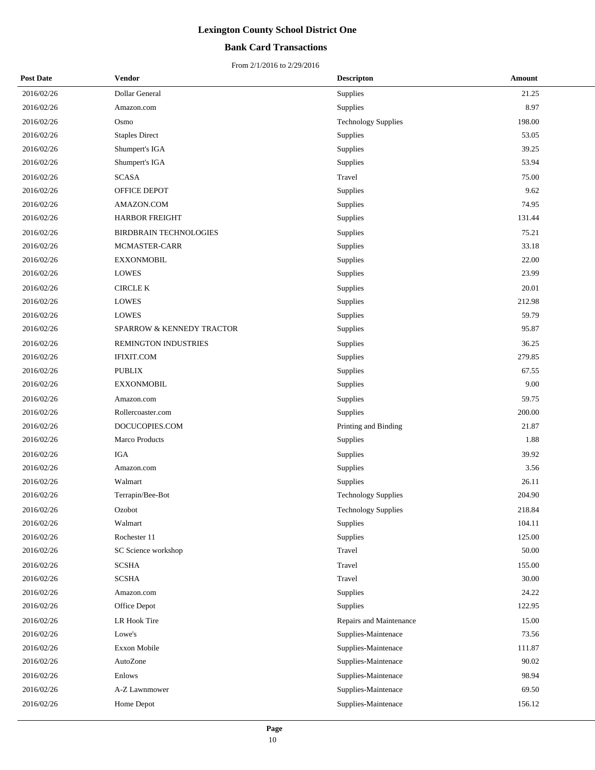## **Bank Card Transactions**

| <b>Post Date</b> | Vendor                        | <b>Descripton</b>          | Amount |
|------------------|-------------------------------|----------------------------|--------|
| 2016/02/26       | Dollar General                | Supplies                   | 21.25  |
| 2016/02/26       | Amazon.com                    | Supplies                   | 8.97   |
| 2016/02/26       | Osmo                          | <b>Technology Supplies</b> | 198.00 |
| 2016/02/26       | <b>Staples Direct</b>         | Supplies                   | 53.05  |
| 2016/02/26       | Shumpert's IGA                | Supplies                   | 39.25  |
| 2016/02/26       | Shumpert's IGA                | Supplies                   | 53.94  |
| 2016/02/26       | <b>SCASA</b>                  | Travel                     | 75.00  |
| 2016/02/26       | OFFICE DEPOT                  | Supplies                   | 9.62   |
| 2016/02/26       | AMAZON.COM                    | Supplies                   | 74.95  |
| 2016/02/26       | <b>HARBOR FREIGHT</b>         | Supplies                   | 131.44 |
| 2016/02/26       | <b>BIRDBRAIN TECHNOLOGIES</b> | Supplies                   | 75.21  |
| 2016/02/26       | MCMASTER-CARR                 | Supplies                   | 33.18  |
| 2016/02/26       | <b>EXXONMOBIL</b>             | Supplies                   | 22.00  |
| 2016/02/26       | <b>LOWES</b>                  | Supplies                   | 23.99  |
| 2016/02/26       | <b>CIRCLE K</b>               | Supplies                   | 20.01  |
| 2016/02/26       | <b>LOWES</b>                  | Supplies                   | 212.98 |
| 2016/02/26       | <b>LOWES</b>                  | Supplies                   | 59.79  |
| 2016/02/26       | SPARROW & KENNEDY TRACTOR     | Supplies                   | 95.87  |
| 2016/02/26       | REMINGTON INDUSTRIES          | Supplies                   | 36.25  |
| 2016/02/26       | <b>IFIXIT.COM</b>             | Supplies                   | 279.85 |
| 2016/02/26       | <b>PUBLIX</b>                 | Supplies                   | 67.55  |
| 2016/02/26       | <b>EXXONMOBIL</b>             | Supplies                   | 9.00   |
| 2016/02/26       | Amazon.com                    | Supplies                   | 59.75  |
| 2016/02/26       | Rollercoaster.com             | Supplies                   | 200.00 |
| 2016/02/26       | DOCUCOPIES.COM                | Printing and Binding       | 21.87  |
| 2016/02/26       | Marco Products                | Supplies                   | 1.88   |
| 2016/02/26       | <b>IGA</b>                    | Supplies                   | 39.92  |
| 2016/02/26       | Amazon.com                    | Supplies                   | 3.56   |
| 2016/02/26       | Walmart                       | Supplies                   | 26.11  |
| 2016/02/26       | Terrapin/Bee-Bot              | <b>Technology Supplies</b> | 204.90 |
| 2016/02/26       | Ozobot                        | Technology Supplies        | 218.84 |
| 2016/02/26       | Walmart                       | Supplies                   | 104.11 |
| 2016/02/26       | Rochester 11                  | Supplies                   | 125.00 |
| 2016/02/26       | SC Science workshop           | Travel                     | 50.00  |
| 2016/02/26       | <b>SCSHA</b>                  | Travel                     | 155.00 |
| 2016/02/26       | <b>SCSHA</b>                  | Travel                     | 30.00  |
| 2016/02/26       | Amazon.com                    | Supplies                   | 24.22  |
| 2016/02/26       | Office Depot                  | Supplies                   | 122.95 |
| 2016/02/26       | LR Hook Tire                  | Repairs and Maintenance    | 15.00  |
| 2016/02/26       | Lowe's                        | Supplies-Maintenace        | 73.56  |
| 2016/02/26       | Exxon Mobile                  | Supplies-Maintenace        | 111.87 |
| 2016/02/26       | AutoZone                      | Supplies-Maintenace        | 90.02  |
| 2016/02/26       | Enlows                        | Supplies-Maintenace        | 98.94  |
| 2016/02/26       | A-Z Lawnmower                 | Supplies-Maintenace        | 69.50  |
| 2016/02/26       | Home Depot                    | Supplies-Maintenace        | 156.12 |
|                  |                               |                            |        |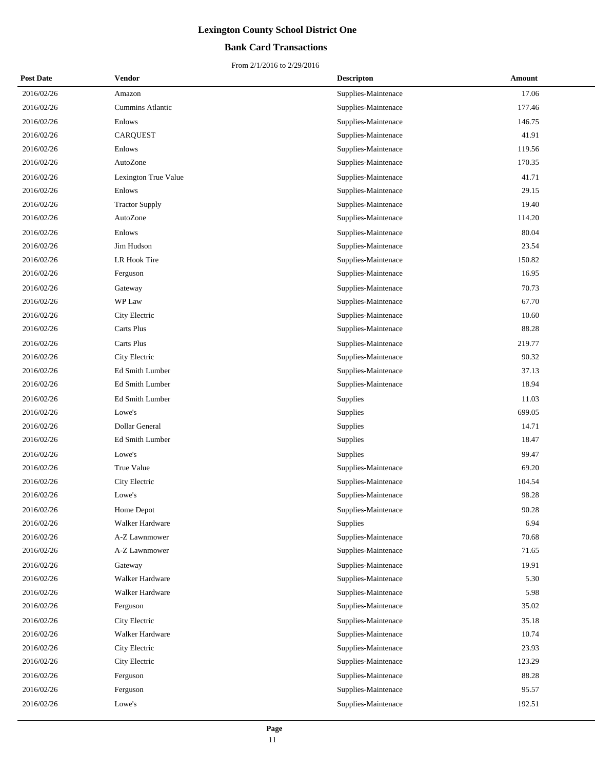## **Bank Card Transactions**

| <b>Post Date</b> | Vendor                  | <b>Descripton</b>   | Amount |  |
|------------------|-------------------------|---------------------|--------|--|
| 2016/02/26       | Amazon                  | Supplies-Maintenace | 17.06  |  |
| 2016/02/26       | <b>Cummins Atlantic</b> | Supplies-Maintenace | 177.46 |  |
| 2016/02/26       | Enlows                  | Supplies-Maintenace | 146.75 |  |
| 2016/02/26       | <b>CARQUEST</b>         | Supplies-Maintenace | 41.91  |  |
| 2016/02/26       | Enlows                  | Supplies-Maintenace | 119.56 |  |
| 2016/02/26       | AutoZone                | Supplies-Maintenace | 170.35 |  |
| 2016/02/26       | Lexington True Value    | Supplies-Maintenace | 41.71  |  |
| 2016/02/26       | Enlows                  | Supplies-Maintenace | 29.15  |  |
| 2016/02/26       | <b>Tractor Supply</b>   | Supplies-Maintenace | 19.40  |  |
| 2016/02/26       | AutoZone                | Supplies-Maintenace | 114.20 |  |
| 2016/02/26       | Enlows                  | Supplies-Maintenace | 80.04  |  |
| 2016/02/26       | Jim Hudson              | Supplies-Maintenace | 23.54  |  |
| 2016/02/26       | LR Hook Tire            | Supplies-Maintenace | 150.82 |  |
| 2016/02/26       | Ferguson                | Supplies-Maintenace | 16.95  |  |
| 2016/02/26       | Gateway                 | Supplies-Maintenace | 70.73  |  |
| 2016/02/26       | WP Law                  | Supplies-Maintenace | 67.70  |  |
| 2016/02/26       | City Electric           | Supplies-Maintenace | 10.60  |  |
| 2016/02/26       | Carts Plus              | Supplies-Maintenace | 88.28  |  |
| 2016/02/26       | Carts Plus              | Supplies-Maintenace | 219.77 |  |
| 2016/02/26       | City Electric           | Supplies-Maintenace | 90.32  |  |
| 2016/02/26       | Ed Smith Lumber         | Supplies-Maintenace | 37.13  |  |
| 2016/02/26       | Ed Smith Lumber         | Supplies-Maintenace | 18.94  |  |
| 2016/02/26       | Ed Smith Lumber         | Supplies            | 11.03  |  |
| 2016/02/26       | Lowe's                  | Supplies            | 699.05 |  |
| 2016/02/26       | Dollar General          | Supplies            | 14.71  |  |
| 2016/02/26       | Ed Smith Lumber         | Supplies            | 18.47  |  |
| 2016/02/26       | Lowe's                  | Supplies            | 99.47  |  |
| 2016/02/26       | True Value              | Supplies-Maintenace | 69.20  |  |
| 2016/02/26       | City Electric           | Supplies-Maintenace | 104.54 |  |
| 2016/02/26       | Lowe's                  | Supplies-Maintenace | 98.28  |  |
| 2016/02/26       | Home Depot              | Supplies-Maintenace | 90.28  |  |
| 2016/02/26       | Walker Hardware         | Supplies            | 6.94   |  |
| 2016/02/26       | A-Z Lawnmower           | Supplies-Maintenace | 70.68  |  |
| 2016/02/26       | A-Z Lawnmower           | Supplies-Maintenace | 71.65  |  |
| 2016/02/26       | Gateway                 | Supplies-Maintenace | 19.91  |  |
| 2016/02/26       | Walker Hardware         | Supplies-Maintenace | 5.30   |  |
| 2016/02/26       | Walker Hardware         | Supplies-Maintenace | 5.98   |  |
| 2016/02/26       | Ferguson                | Supplies-Maintenace | 35.02  |  |
| 2016/02/26       | City Electric           | Supplies-Maintenace | 35.18  |  |
| 2016/02/26       | Walker Hardware         | Supplies-Maintenace | 10.74  |  |
| 2016/02/26       | City Electric           | Supplies-Maintenace | 23.93  |  |
| 2016/02/26       | City Electric           | Supplies-Maintenace | 123.29 |  |
| 2016/02/26       | Ferguson                | Supplies-Maintenace | 88.28  |  |
| 2016/02/26       | Ferguson                | Supplies-Maintenace | 95.57  |  |
| 2016/02/26       | Lowe's                  | Supplies-Maintenace | 192.51 |  |
|                  |                         |                     |        |  |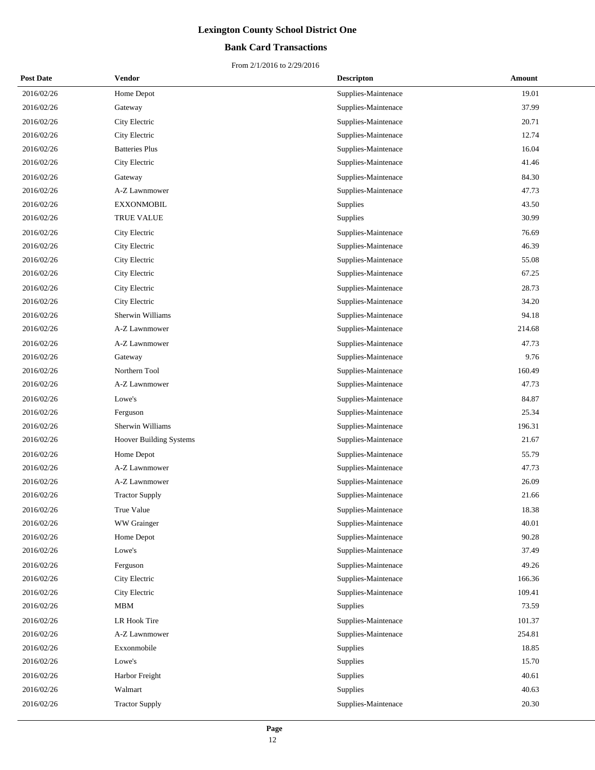## **Bank Card Transactions**

| <b>Post Date</b> | Vendor                        | <b>Descripton</b>   | Amount |
|------------------|-------------------------------|---------------------|--------|
| 2016/02/26       | Home Depot                    | Supplies-Maintenace | 19.01  |
| 2016/02/26       | Gateway                       | Supplies-Maintenace | 37.99  |
| 2016/02/26       | City Electric                 | Supplies-Maintenace | 20.71  |
| 2016/02/26       | City Electric                 | Supplies-Maintenace | 12.74  |
| 2016/02/26       | <b>Batteries Plus</b>         | Supplies-Maintenace | 16.04  |
| 2016/02/26       | City Electric                 | Supplies-Maintenace | 41.46  |
| 2016/02/26       | Gateway                       | Supplies-Maintenace | 84.30  |
| 2016/02/26       | A-Z Lawnmower                 | Supplies-Maintenace | 47.73  |
| 2016/02/26       | <b>EXXONMOBIL</b>             | Supplies            | 43.50  |
| 2016/02/26       | TRUE VALUE                    | Supplies            | 30.99  |
| 2016/02/26       | City Electric                 | Supplies-Maintenace | 76.69  |
| 2016/02/26       | City Electric                 | Supplies-Maintenace | 46.39  |
| 2016/02/26       | City Electric                 | Supplies-Maintenace | 55.08  |
| 2016/02/26       | City Electric                 | Supplies-Maintenace | 67.25  |
| 2016/02/26       | City Electric                 | Supplies-Maintenace | 28.73  |
| 2016/02/26       | City Electric                 | Supplies-Maintenace | 34.20  |
| 2016/02/26       | Sherwin Williams              | Supplies-Maintenace | 94.18  |
| 2016/02/26       | A-Z Lawnmower                 | Supplies-Maintenace | 214.68 |
| 2016/02/26       | A-Z Lawnmower                 | Supplies-Maintenace | 47.73  |
| 2016/02/26       | Gateway                       | Supplies-Maintenace | 9.76   |
| 2016/02/26       | Northern Tool                 | Supplies-Maintenace | 160.49 |
| 2016/02/26       | A-Z Lawnmower                 | Supplies-Maintenace | 47.73  |
| 2016/02/26       | Lowe's                        | Supplies-Maintenace | 84.87  |
| 2016/02/26       | Ferguson                      | Supplies-Maintenace | 25.34  |
| 2016/02/26       | Sherwin Williams              | Supplies-Maintenace | 196.31 |
| 2016/02/26       | Hoover Building Systems       | Supplies-Maintenace | 21.67  |
| 2016/02/26       | Home Depot                    | Supplies-Maintenace | 55.79  |
| 2016/02/26       | A-Z Lawnmower                 | Supplies-Maintenace | 47.73  |
| 2016/02/26       | A-Z Lawnmower                 | Supplies-Maintenace | 26.09  |
| 2016/02/26       | <b>Tractor Supply</b>         | Supplies-Maintenace | 21.66  |
| 2016/02/26       | True Value                    | Supplies-Maintenace | 18.38  |
| 2016/02/26       | WW Grainger                   | Supplies-Maintenace | 40.01  |
| 2016/02/26       | Home Depot                    | Supplies-Maintenace | 90.28  |
| 2016/02/26       | Lowe's                        | Supplies-Maintenace | 37.49  |
| 2016/02/26       | Ferguson                      | Supplies-Maintenace | 49.26  |
| 2016/02/26       | City Electric                 | Supplies-Maintenace | 166.36 |
| 2016/02/26       | City Electric                 | Supplies-Maintenace | 109.41 |
| 2016/02/26       | $\operatorname{\mathsf{MBM}}$ | Supplies            | 73.59  |
| 2016/02/26       | LR Hook Tire                  | Supplies-Maintenace | 101.37 |
| 2016/02/26       | A-Z Lawnmower                 | Supplies-Maintenace | 254.81 |
| 2016/02/26       | Exxonmobile                   | Supplies            | 18.85  |
| 2016/02/26       | Lowe's                        | Supplies            | 15.70  |
| 2016/02/26       | Harbor Freight                | Supplies            | 40.61  |
| 2016/02/26       | Walmart                       | Supplies            | 40.63  |
| 2016/02/26       | <b>Tractor Supply</b>         | Supplies-Maintenace | 20.30  |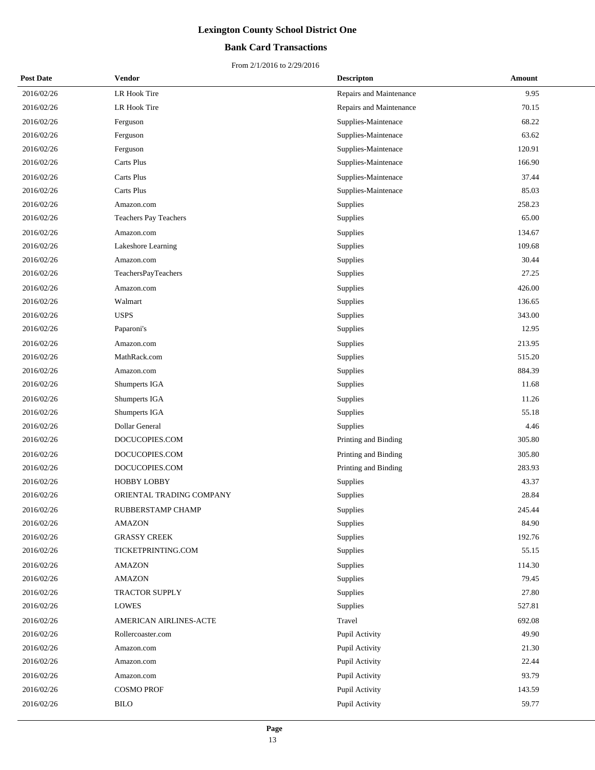## **Bank Card Transactions**

| <b>Post Date</b> | Vendor                   | <b>Descripton</b>       | Amount |
|------------------|--------------------------|-------------------------|--------|
| 2016/02/26       | LR Hook Tire             | Repairs and Maintenance | 9.95   |
| 2016/02/26       | LR Hook Tire             | Repairs and Maintenance | 70.15  |
| 2016/02/26       | Ferguson                 | Supplies-Maintenace     | 68.22  |
| 2016/02/26       | Ferguson                 | Supplies-Maintenace     | 63.62  |
| 2016/02/26       | Ferguson                 | Supplies-Maintenace     | 120.91 |
| 2016/02/26       | Carts Plus               | Supplies-Maintenace     | 166.90 |
| 2016/02/26       | Carts Plus               | Supplies-Maintenace     | 37.44  |
| 2016/02/26       | Carts Plus               | Supplies-Maintenace     | 85.03  |
| 2016/02/26       | Amazon.com               | Supplies                | 258.23 |
| 2016/02/26       | Teachers Pay Teachers    | Supplies                | 65.00  |
| 2016/02/26       | Amazon.com               | Supplies                | 134.67 |
| 2016/02/26       | Lakeshore Learning       | Supplies                | 109.68 |
| 2016/02/26       | Amazon.com               | Supplies                | 30.44  |
| 2016/02/26       | TeachersPayTeachers      | Supplies                | 27.25  |
| 2016/02/26       | Amazon.com               | Supplies                | 426.00 |
| 2016/02/26       | Walmart                  | Supplies                | 136.65 |
| 2016/02/26       | <b>USPS</b>              | Supplies                | 343.00 |
| 2016/02/26       | Paparoni's               | Supplies                | 12.95  |
| 2016/02/26       | Amazon.com               | Supplies                | 213.95 |
| 2016/02/26       | MathRack.com             | Supplies                | 515.20 |
| 2016/02/26       | Amazon.com               | Supplies                | 884.39 |
| 2016/02/26       | Shumperts IGA            | Supplies                | 11.68  |
| 2016/02/26       | Shumperts IGA            | Supplies                | 11.26  |
| 2016/02/26       | Shumperts IGA            | Supplies                | 55.18  |
| 2016/02/26       | Dollar General           | Supplies                | 4.46   |
| 2016/02/26       | DOCUCOPIES.COM           | Printing and Binding    | 305.80 |
| 2016/02/26       | DOCUCOPIES.COM           | Printing and Binding    | 305.80 |
| 2016/02/26       | DOCUCOPIES.COM           | Printing and Binding    | 283.93 |
| 2016/02/26       | <b>HOBBY LOBBY</b>       | Supplies                | 43.37  |
| 2016/02/26       | ORIENTAL TRADING COMPANY | Supplies                | 28.84  |
| 2016/02/26       | RUBBERSTAMP CHAMP        | Supplies                | 245.44 |
| 2016/02/26       | <b>AMAZON</b>            | Supplies                | 84.90  |
| 2016/02/26       | <b>GRASSY CREEK</b>      | Supplies                | 192.76 |
| 2016/02/26       | TICKETPRINTING.COM       | Supplies                | 55.15  |
| 2016/02/26       | <b>AMAZON</b>            | Supplies                | 114.30 |
| 2016/02/26       | <b>AMAZON</b>            | Supplies                | 79.45  |
| 2016/02/26       | <b>TRACTOR SUPPLY</b>    | Supplies                | 27.80  |
| 2016/02/26       | <b>LOWES</b>             | Supplies                | 527.81 |
| 2016/02/26       | AMERICAN AIRLINES-ACTE   | Travel                  | 692.08 |
| 2016/02/26       | Rollercoaster.com        | Pupil Activity          | 49.90  |
| 2016/02/26       | Amazon.com               | Pupil Activity          | 21.30  |
| 2016/02/26       | Amazon.com               | Pupil Activity          | 22.44  |
| 2016/02/26       | Amazon.com               | Pupil Activity          | 93.79  |
| 2016/02/26       | <b>COSMO PROF</b>        | Pupil Activity          | 143.59 |
| 2016/02/26       | <b>BILO</b>              | Pupil Activity          | 59.77  |
|                  |                          |                         |        |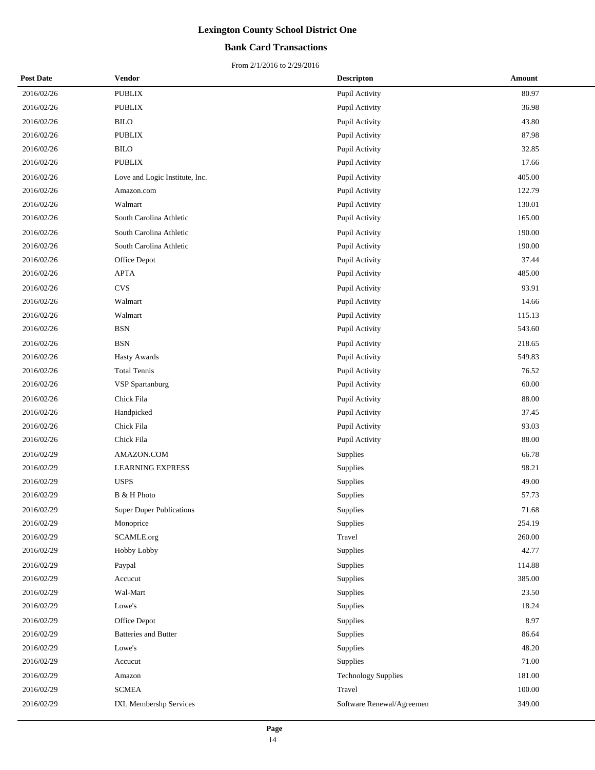## **Bank Card Transactions**

| <b>Post Date</b> | Vendor                          | <b>Descripton</b>          | Amount |
|------------------|---------------------------------|----------------------------|--------|
| 2016/02/26       | <b>PUBLIX</b>                   | Pupil Activity             | 80.97  |
| 2016/02/26       | $\operatorname{PUBLIX}$         | Pupil Activity             | 36.98  |
| 2016/02/26       | <b>BILO</b>                     | Pupil Activity             | 43.80  |
| 2016/02/26       | <b>PUBLIX</b>                   | Pupil Activity             | 87.98  |
| 2016/02/26       | <b>BILO</b>                     | Pupil Activity             | 32.85  |
| 2016/02/26       | <b>PUBLIX</b>                   | Pupil Activity             | 17.66  |
| 2016/02/26       | Love and Logic Institute, Inc.  | Pupil Activity             | 405.00 |
| 2016/02/26       | Amazon.com                      | Pupil Activity             | 122.79 |
| 2016/02/26       | Walmart                         | Pupil Activity             | 130.01 |
| 2016/02/26       | South Carolina Athletic         | Pupil Activity             | 165.00 |
| 2016/02/26       | South Carolina Athletic         | Pupil Activity             | 190.00 |
| 2016/02/26       | South Carolina Athletic         | Pupil Activity             | 190.00 |
| 2016/02/26       | Office Depot                    | Pupil Activity             | 37.44  |
| 2016/02/26       | APTA                            | Pupil Activity             | 485.00 |
| 2016/02/26       | <b>CVS</b>                      | Pupil Activity             | 93.91  |
| 2016/02/26       | Walmart                         | Pupil Activity             | 14.66  |
| 2016/02/26       | Walmart                         | Pupil Activity             | 115.13 |
| 2016/02/26       | <b>BSN</b>                      | Pupil Activity             | 543.60 |
| 2016/02/26       | <b>BSN</b>                      | Pupil Activity             | 218.65 |
| 2016/02/26       | <b>Hasty Awards</b>             | Pupil Activity             | 549.83 |
| 2016/02/26       | <b>Total Tennis</b>             | Pupil Activity             | 76.52  |
| 2016/02/26       | <b>VSP</b> Spartanburg          | Pupil Activity             | 60.00  |
| 2016/02/26       | Chick Fila                      | Pupil Activity             | 88.00  |
| 2016/02/26       | Handpicked                      | Pupil Activity             | 37.45  |
| 2016/02/26       | Chick Fila                      | Pupil Activity             | 93.03  |
| 2016/02/26       | Chick Fila                      | Pupil Activity             | 88.00  |
| 2016/02/29       | AMAZON.COM                      | <b>Supplies</b>            | 66.78  |
| 2016/02/29       | <b>LEARNING EXPRESS</b>         | Supplies                   | 98.21  |
| 2016/02/29       | <b>USPS</b>                     | Supplies                   | 49.00  |
| 2016/02/29       | B & H Photo                     | Supplies                   | 57.73  |
| 2016/02/29       | <b>Super Duper Publications</b> | Supplies                   | 71.68  |
| 2016/02/29       | Monoprice                       | Supplies                   | 254.19 |
| 2016/02/29       | SCAMLE.org                      | Travel                     | 260.00 |
| 2016/02/29       | Hobby Lobby                     | Supplies                   | 42.77  |
| 2016/02/29       | Paypal                          | Supplies                   | 114.88 |
| 2016/02/29       | Accucut                         | Supplies                   | 385.00 |
| 2016/02/29       | Wal-Mart                        | Supplies                   | 23.50  |
| 2016/02/29       | Lowe's                          | Supplies                   | 18.24  |
| 2016/02/29       | Office Depot                    | Supplies                   | 8.97   |
| 2016/02/29       | <b>Batteries and Butter</b>     | Supplies                   | 86.64  |
| 2016/02/29       | Lowe's                          | Supplies                   | 48.20  |
| 2016/02/29       | Accucut                         | Supplies                   | 71.00  |
| 2016/02/29       | Amazon                          | <b>Technology Supplies</b> | 181.00 |
| 2016/02/29       | <b>SCMEA</b>                    | Travel                     | 100.00 |
| 2016/02/29       | IXL Membershp Services          | Software Renewal/Agreemen  | 349.00 |
|                  |                                 |                            |        |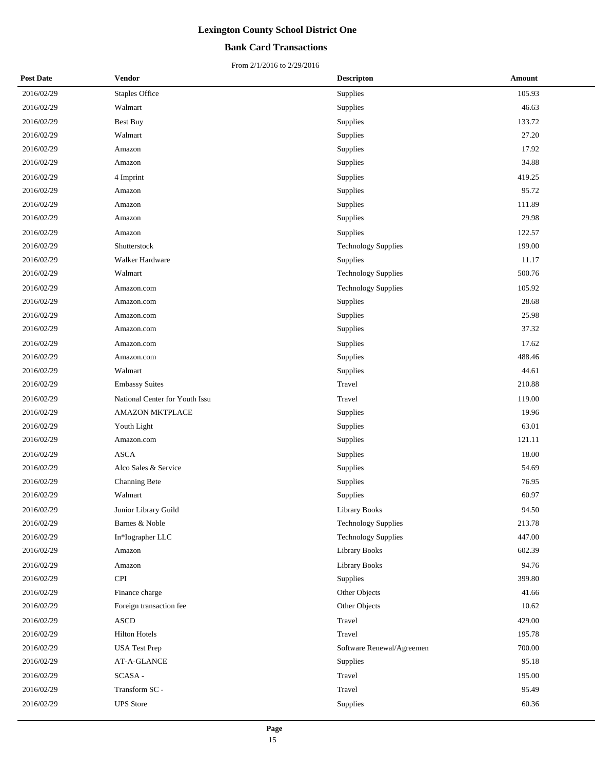## **Bank Card Transactions**

| <b>Post Date</b> | Vendor                         | <b>Descripton</b>          | Amount |
|------------------|--------------------------------|----------------------------|--------|
| 2016/02/29       | <b>Staples Office</b>          | Supplies                   | 105.93 |
| 2016/02/29       | Walmart                        | Supplies                   | 46.63  |
| 2016/02/29       | Best Buy                       | Supplies                   | 133.72 |
| 2016/02/29       | Walmart                        | Supplies                   | 27.20  |
| 2016/02/29       | Amazon                         | Supplies                   | 17.92  |
| 2016/02/29       | Amazon                         | Supplies                   | 34.88  |
| 2016/02/29       | 4 Imprint                      | Supplies                   | 419.25 |
| 2016/02/29       | Amazon                         | Supplies                   | 95.72  |
| 2016/02/29       | Amazon                         | Supplies                   | 111.89 |
| 2016/02/29       | Amazon                         | Supplies                   | 29.98  |
| 2016/02/29       | Amazon                         | Supplies                   | 122.57 |
| 2016/02/29       | Shutterstock                   | <b>Technology Supplies</b> | 199.00 |
| 2016/02/29       | Walker Hardware                | Supplies                   | 11.17  |
| 2016/02/29       | Walmart                        | <b>Technology Supplies</b> | 500.76 |
| 2016/02/29       | Amazon.com                     | <b>Technology Supplies</b> | 105.92 |
| 2016/02/29       | Amazon.com                     | Supplies                   | 28.68  |
| 2016/02/29       | Amazon.com                     | Supplies                   | 25.98  |
| 2016/02/29       | Amazon.com                     | Supplies                   | 37.32  |
| 2016/02/29       | Amazon.com                     | Supplies                   | 17.62  |
| 2016/02/29       | Amazon.com                     | Supplies                   | 488.46 |
| 2016/02/29       | Walmart                        | Supplies                   | 44.61  |
| 2016/02/29       | <b>Embassy Suites</b>          | Travel                     | 210.88 |
| 2016/02/29       | National Center for Youth Issu | Travel                     | 119.00 |
| 2016/02/29       | <b>AMAZON MKTPLACE</b>         | Supplies                   | 19.96  |
| 2016/02/29       | Youth Light                    | Supplies                   | 63.01  |
| 2016/02/29       | Amazon.com                     | Supplies                   | 121.11 |
| 2016/02/29       | <b>ASCA</b>                    | Supplies                   | 18.00  |
| 2016/02/29       | Alco Sales & Service           | Supplies                   | 54.69  |
| 2016/02/29       | Channing Bete                  | Supplies                   | 76.95  |
| 2016/02/29       | Walmart                        | Supplies                   | 60.97  |
| 2016/02/29       | Junior Library Guild           | Library Books              | 94.50  |
| 2016/02/29       | Barnes & Noble                 | <b>Technology Supplies</b> | 213.78 |
| 2016/02/29       | In*Iographer LLC               | <b>Technology Supplies</b> | 447.00 |
| 2016/02/29       | Amazon                         | <b>Library Books</b>       | 602.39 |
| 2016/02/29       | Amazon                         | <b>Library Books</b>       | 94.76  |
| 2016/02/29       | <b>CPI</b>                     | Supplies                   | 399.80 |
| 2016/02/29       | Finance charge                 | Other Objects              | 41.66  |
| 2016/02/29       | Foreign transaction fee        | Other Objects              | 10.62  |
| 2016/02/29       | <b>ASCD</b>                    | Travel                     | 429.00 |
| 2016/02/29       | <b>Hilton Hotels</b>           | Travel                     | 195.78 |
| 2016/02/29       | <b>USA Test Prep</b>           | Software Renewal/Agreemen  | 700.00 |
| 2016/02/29       | AT-A-GLANCE                    | Supplies                   | 95.18  |
| 2016/02/29       | SCASA-                         | Travel                     | 195.00 |
| 2016/02/29       | Transform SC -                 | Travel                     | 95.49  |
| 2016/02/29       | <b>UPS</b> Store               | Supplies                   | 60.36  |
|                  |                                |                            |        |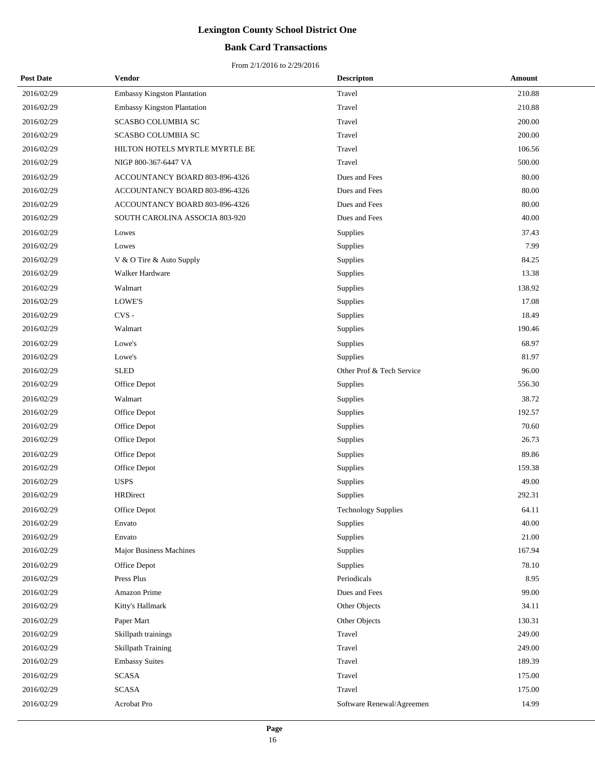## **Bank Card Transactions**

| <b>Post Date</b> | Vendor                             | <b>Descripton</b>         | Amount |
|------------------|------------------------------------|---------------------------|--------|
| 2016/02/29       | <b>Embassy Kingston Plantation</b> | Travel                    | 210.88 |
| 2016/02/29       | <b>Embassy Kingston Plantation</b> | Travel                    | 210.88 |
| 2016/02/29       | SCASBO COLUMBIA SC                 | Travel                    | 200.00 |
| 2016/02/29       | SCASBO COLUMBIA SC                 | Travel                    | 200.00 |
| 2016/02/29       | HILTON HOTELS MYRTLE MYRTLE BE     | Travel                    | 106.56 |
| 2016/02/29       | NIGP 800-367-6447 VA               | Travel                    | 500.00 |
| 2016/02/29       | ACCOUNTANCY BOARD 803-896-4326     | Dues and Fees             | 80.00  |
| 2016/02/29       | ACCOUNTANCY BOARD 803-896-4326     | Dues and Fees             | 80.00  |
| 2016/02/29       | ACCOUNTANCY BOARD 803-896-4326     | Dues and Fees             | 80.00  |
| 2016/02/29       | SOUTH CAROLINA ASSOCIA 803-920     | Dues and Fees             | 40.00  |
| 2016/02/29       | Lowes                              | Supplies                  | 37.43  |
| 2016/02/29       | Lowes                              | Supplies                  | 7.99   |
| 2016/02/29       | V & O Tire & Auto Supply           | Supplies                  | 84.25  |
| 2016/02/29       | Walker Hardware                    | Supplies                  | 13.38  |
| 2016/02/29       | Walmart                            | Supplies                  | 138.92 |
| 2016/02/29       | LOWE'S                             | Supplies                  | 17.08  |
| 2016/02/29       | $CVS -$                            | Supplies                  | 18.49  |
| 2016/02/29       | Walmart                            | Supplies                  | 190.46 |
| 2016/02/29       | Lowe's                             | Supplies                  | 68.97  |
| 2016/02/29       | Lowe's                             | Supplies                  | 81.97  |
| 2016/02/29       | <b>SLED</b>                        | Other Prof & Tech Service | 96.00  |
| 2016/02/29       | Office Depot                       | Supplies                  | 556.30 |
| 2016/02/29       | Walmart                            | Supplies                  | 38.72  |
| 2016/02/29       | Office Depot                       | Supplies                  | 192.57 |
| 2016/02/29       | Office Depot                       | Supplies                  | 70.60  |
| 2016/02/29       | Office Depot                       | Supplies                  | 26.73  |
| 2016/02/29       | Office Depot                       | Supplies                  | 89.86  |
| 2016/02/29       | Office Depot                       | Supplies                  | 159.38 |
| 2016/02/29       | <b>USPS</b>                        | Supplies                  | 49.00  |
| 2016/02/29       | <b>HRDirect</b>                    | Supplies                  | 292.31 |
| 2016/02/29       | Office Depot                       | Technology Supplies       | 64.11  |
| 2016/02/29       | Envato                             | Supplies                  | 40.00  |
| 2016/02/29       | Envato                             | Supplies                  | 21.00  |
| 2016/02/29       | <b>Major Business Machines</b>     | Supplies                  | 167.94 |
| 2016/02/29       | Office Depot                       | Supplies                  | 78.10  |
| 2016/02/29       | Press Plus                         | Periodicals               | 8.95   |
| 2016/02/29       | Amazon Prime                       | Dues and Fees             | 99.00  |
| 2016/02/29       | Kitty's Hallmark                   | Other Objects             | 34.11  |
| 2016/02/29       | Paper Mart                         | Other Objects             | 130.31 |
| 2016/02/29       | Skillpath trainings                | Travel                    | 249.00 |
| 2016/02/29       | <b>Skillpath Training</b>          | Travel                    | 249.00 |
| 2016/02/29       | <b>Embassy Suites</b>              | Travel                    | 189.39 |
| 2016/02/29       | SCASA                              | Travel                    | 175.00 |
| 2016/02/29       | <b>SCASA</b>                       | Travel                    | 175.00 |
| 2016/02/29       | Acrobat Pro                        | Software Renewal/Agreemen | 14.99  |
|                  |                                    |                           |        |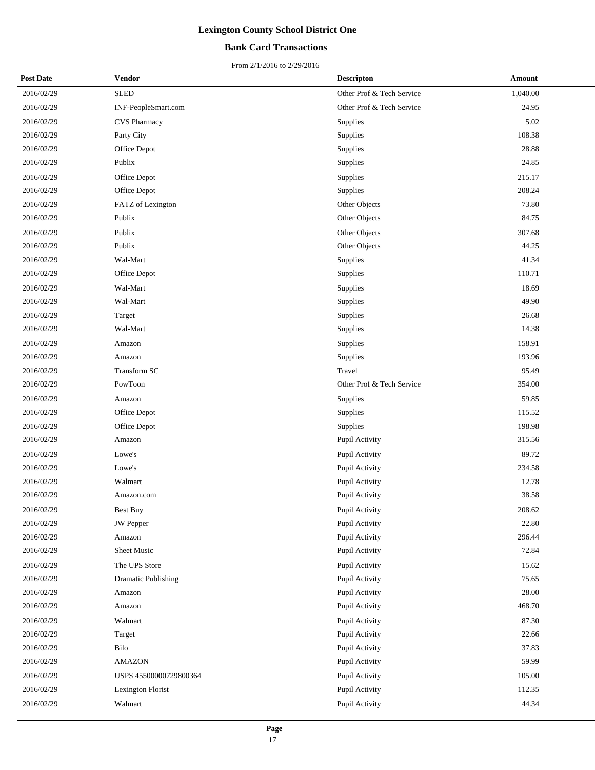## **Bank Card Transactions**

| <b>Post Date</b> | Vendor                     | <b>Descripton</b>         | Amount   |
|------------------|----------------------------|---------------------------|----------|
| 2016/02/29       | <b>SLED</b>                | Other Prof & Tech Service | 1,040.00 |
| 2016/02/29       | INF-PeopleSmart.com        | Other Prof & Tech Service | 24.95    |
| 2016/02/29       | <b>CVS Pharmacy</b>        | Supplies                  | 5.02     |
| 2016/02/29       | Party City                 | Supplies                  | 108.38   |
| 2016/02/29       | Office Depot               | Supplies                  | 28.88    |
| 2016/02/29       | Publix                     | Supplies                  | 24.85    |
| 2016/02/29       | Office Depot               | Supplies                  | 215.17   |
| 2016/02/29       | Office Depot               | Supplies                  | 208.24   |
| 2016/02/29       | FATZ of Lexington          | Other Objects             | 73.80    |
| 2016/02/29       | Publix                     | Other Objects             | 84.75    |
| 2016/02/29       | Publix                     | Other Objects             | 307.68   |
| 2016/02/29       | Publix                     | Other Objects             | 44.25    |
| 2016/02/29       | Wal-Mart                   | Supplies                  | 41.34    |
| 2016/02/29       | Office Depot               | Supplies                  | 110.71   |
| 2016/02/29       | Wal-Mart                   | Supplies                  | 18.69    |
| 2016/02/29       | Wal-Mart                   | Supplies                  | 49.90    |
| 2016/02/29       | Target                     | Supplies                  | 26.68    |
| 2016/02/29       | Wal-Mart                   | Supplies                  | 14.38    |
| 2016/02/29       | Amazon                     | Supplies                  | 158.91   |
| 2016/02/29       | Amazon                     | Supplies                  | 193.96   |
| 2016/02/29       | Transform SC               | Travel                    | 95.49    |
| 2016/02/29       | PowToon                    | Other Prof & Tech Service | 354.00   |
| 2016/02/29       | Amazon                     | Supplies                  | 59.85    |
| 2016/02/29       | Office Depot               | Supplies                  | 115.52   |
| 2016/02/29       | Office Depot               | Supplies                  | 198.98   |
| 2016/02/29       | Amazon                     | Pupil Activity            | 315.56   |
| 2016/02/29       | Lowe's                     | Pupil Activity            | 89.72    |
| 2016/02/29       | Lowe's                     | Pupil Activity            | 234.58   |
| 2016/02/29       | Walmart                    | Pupil Activity            | 12.78    |
| 2016/02/29       | Amazon.com                 | Pupil Activity            | 38.58    |
| 2016/02/29       | Best Buy                   | Pupil Activity            | 208.62   |
| 2016/02/29       | JW Pepper                  | Pupil Activity            | 22.80    |
| 2016/02/29       | Amazon                     | Pupil Activity            | 296.44   |
| 2016/02/29       | Sheet Music                | Pupil Activity            | 72.84    |
| 2016/02/29       | The UPS Store              | Pupil Activity            | 15.62    |
| 2016/02/29       | <b>Dramatic Publishing</b> | Pupil Activity            | 75.65    |
| 2016/02/29       | Amazon                     | Pupil Activity            | 28.00    |
| 2016/02/29       | Amazon                     | Pupil Activity            | 468.70   |
| 2016/02/29       | Walmart                    | Pupil Activity            | 87.30    |
| 2016/02/29       | Target                     | Pupil Activity            | 22.66    |
| 2016/02/29       | Bilo                       | Pupil Activity            | 37.83    |
| 2016/02/29       | <b>AMAZON</b>              | Pupil Activity            | 59.99    |
| 2016/02/29       | USPS 45500000729800364     | Pupil Activity            | 105.00   |
| 2016/02/29       | Lexington Florist          | Pupil Activity            | 112.35   |
| 2016/02/29       | Walmart                    | Pupil Activity            | 44.34    |
|                  |                            |                           |          |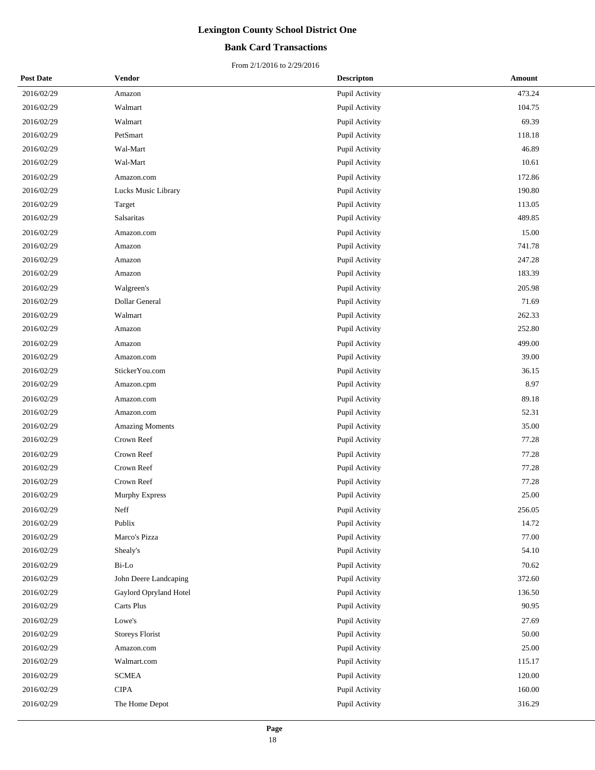## **Bank Card Transactions**

| <b>Post Date</b> | Vendor                 | <b>Descripton</b> | Amount    |
|------------------|------------------------|-------------------|-----------|
| 2016/02/29       | Amazon                 | Pupil Activity    | 473.24    |
| 2016/02/29       | Walmart                | Pupil Activity    | 104.75    |
| 2016/02/29       | Walmart                | Pupil Activity    | 69.39     |
| 2016/02/29       | PetSmart               | Pupil Activity    | 118.18    |
| 2016/02/29       | Wal-Mart               | Pupil Activity    | 46.89     |
| 2016/02/29       | Wal-Mart               | Pupil Activity    | 10.61     |
| 2016/02/29       | Amazon.com             | Pupil Activity    | 172.86    |
| 2016/02/29       | Lucks Music Library    | Pupil Activity    | 190.80    |
| 2016/02/29       | Target                 | Pupil Activity    | 113.05    |
| 2016/02/29       | Salsaritas             | Pupil Activity    | 489.85    |
| 2016/02/29       | Amazon.com             | Pupil Activity    | 15.00     |
| 2016/02/29       | Amazon                 | Pupil Activity    | 741.78    |
| 2016/02/29       | Amazon                 | Pupil Activity    | 247.28    |
| 2016/02/29       | Amazon                 | Pupil Activity    | 183.39    |
| 2016/02/29       | Walgreen's             | Pupil Activity    | 205.98    |
| 2016/02/29       | Dollar General         | Pupil Activity    | 71.69     |
| 2016/02/29       | Walmart                | Pupil Activity    | 262.33    |
| 2016/02/29       | Amazon                 | Pupil Activity    | 252.80    |
| 2016/02/29       | Amazon                 | Pupil Activity    | 499.00    |
| 2016/02/29       | Amazon.com             | Pupil Activity    | 39.00     |
| 2016/02/29       | StickerYou.com         | Pupil Activity    | 36.15     |
| 2016/02/29       | Amazon.cpm             | Pupil Activity    | 8.97      |
| 2016/02/29       | Amazon.com             | Pupil Activity    | 89.18     |
| 2016/02/29       | Amazon.com             | Pupil Activity    | 52.31     |
| 2016/02/29       | <b>Amazing Moments</b> | Pupil Activity    | 35.00     |
| 2016/02/29       | Crown Reef             | Pupil Activity    | 77.28     |
| 2016/02/29       | Crown Reef             | Pupil Activity    | 77.28     |
| 2016/02/29       | Crown Reef             | Pupil Activity    | 77.28     |
| 2016/02/29       | Crown Reef             | Pupil Activity    | 77.28     |
| 2016/02/29       | Murphy Express         | Pupil Activity    | 25.00     |
| 2016/02/29       | Neff                   | Pupil Activity    | 256.05    |
| 2016/02/29       | Publix                 | Pupil Activity    | 14.72     |
| 2016/02/29       | Marco's Pizza          | Pupil Activity    | $77.00\,$ |
| 2016/02/29       | Shealy's               | Pupil Activity    | 54.10     |
| 2016/02/29       | Bi-Lo                  | Pupil Activity    | 70.62     |
| 2016/02/29       | John Deere Landcaping  | Pupil Activity    | 372.60    |
| 2016/02/29       | Gaylord Opryland Hotel | Pupil Activity    | 136.50    |
| 2016/02/29       | Carts Plus             | Pupil Activity    | 90.95     |
| 2016/02/29       | Lowe's                 | Pupil Activity    | 27.69     |
| 2016/02/29       | Storeys Florist        | Pupil Activity    | 50.00     |
| 2016/02/29       | Amazon.com             | Pupil Activity    | 25.00     |
| 2016/02/29       | Walmart.com            | Pupil Activity    | 115.17    |
| 2016/02/29       | <b>SCMEA</b>           | Pupil Activity    | 120.00    |
| 2016/02/29       | <b>CIPA</b>            | Pupil Activity    | 160.00    |
| 2016/02/29       | The Home Depot         | Pupil Activity    | 316.29    |
|                  |                        |                   |           |